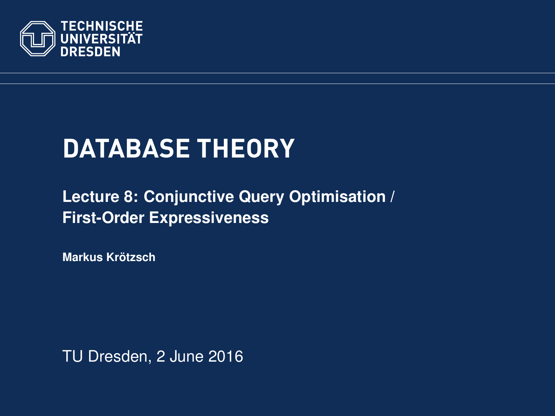<span id="page-0-0"></span>

# **DATABASE THEORY**

### **[Lecture 8: Conjunctive Query Optimisation /](https://ddll.inf.tu-dresden.de/web/Database_Theory_%28SS2016%29/en) [First-Order Expressiveness](https://ddll.inf.tu-dresden.de/web/Database_Theory_%28SS2016%29/en)**

**[Markus Krotzsch](http://korrekt.org/) ¨**

TU Dresden, 2 June 2016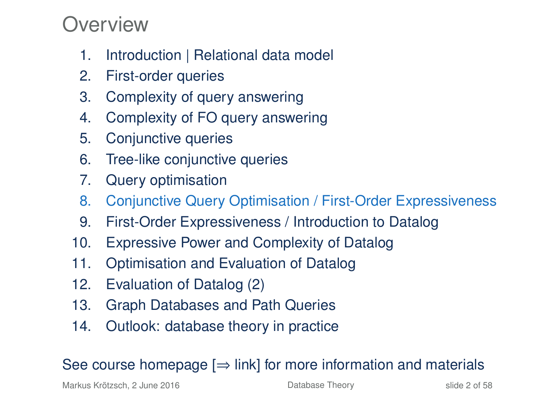### Overview

- 1. Introduction | Relational data model
- 2. First-order queries
- 3. Complexity of query answering
- 4. Complexity of FO query answering
- 5. Conjunctive queries
- 6. Tree-like conjunctive queries
- 7. Query optimisation
- 8. Conjunctive Query Optimisation / First-Order Expressiveness
- 9. First-Order Expressiveness / Introduction to Datalog
- 10. Expressive Power and Complexity of Datalog
- 11. Optimisation and Evaluation of Datalog
- 12. Evaluation of Datalog (2)
- 13. Graph Databases and Path Queries
- 14. Outlook: database theory in practice

### See course homepage  $[\Rightarrow]$  link] for more information and materials

Markus Krötzsch, 2 June 2016 **[Database Theory](#page-0-0)** Charles Controller 2 of 58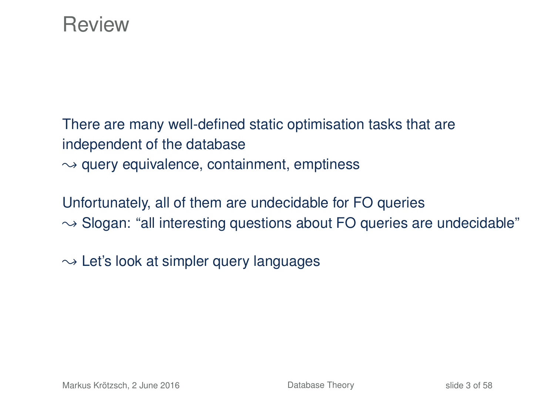### Review

There are many well-defined static optimisation tasks that are independent of the database  $\rightarrow$  query equivalence, containment, emptiness

Unfortunately, all of them are undecidable for FO queries  $\rightarrow$  Slogan: "all interesting questions about FO queries are undecidable"

 $\rightarrow$  Let's look at simpler query languages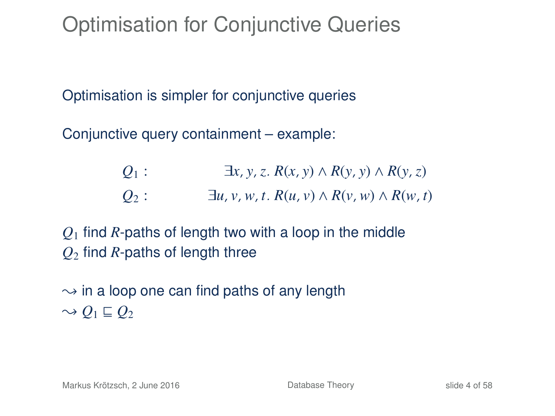## Optimisation for Conjunctive Queries

Optimisation is simpler for conjunctive queries

Conjunctive query containment – example:

| $Q_1$ : | $\exists x, y, z. R(x, y) \wedge R(y, y) \wedge R(y, z)$    |
|---------|-------------------------------------------------------------|
| $Q_2$ : | $\exists u, v, w, t. R(u, v) \wedge R(v, w) \wedge R(w, t)$ |

*Q*<sup>1</sup> find *R*-paths of length two with a loop in the middle *Q*<sup>2</sup> find *R*-paths of length three

 $\rightarrow$  in a loop one can find paths of any length  $\sim Q_1 \sqsubseteq Q_2$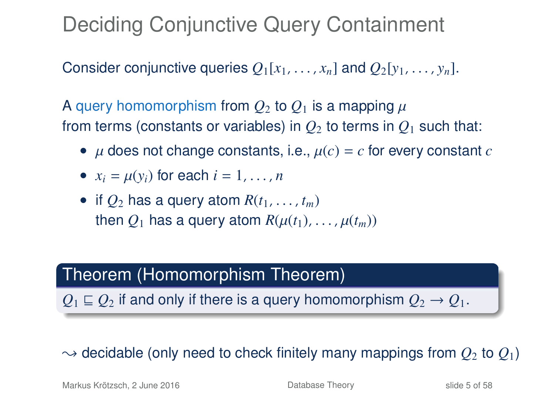Deciding Conjunctive Query Containment

Consider conjunctive queries  $O_1[x_1, \ldots, x_n]$  and  $O_2[y_1, \ldots, y_n]$ .

A query homomorphism from  $Q_2$  to  $Q_1$  is a mapping  $\mu$ from terms (constants or variables) in  $O_2$  to terms in  $O_1$  such that:

- $\mu$  does not change constants, i.e.,  $\mu(c) = c$  for every constant  $c$
- $x_i = \mu(y_i)$  for each  $i = 1, \ldots, n$
- if  $Q_2$  has a query atom  $R(t_1, \ldots, t_m)$ then  $O_1$  has a query atom  $R(\mu(t_1), \ldots, \mu(t_m))$

### Theorem (Homomorphism Theorem)

 $Q_1 \sqsubseteq Q_2$  if and only if there is a query homomorphism  $Q_2 \rightarrow Q_1$ .

### $\rightarrow$  decidable (only need to check finitely many mappings from  $O_2$  to  $O_1$ )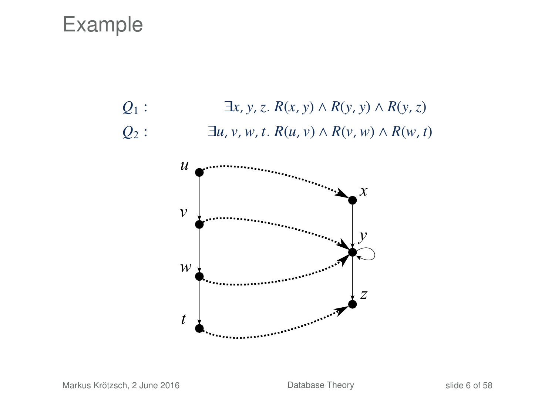### Example

*Q*<sub>1</sub> : ∃*x*, *y*, *z*. *R*(*x*, *y*) ∧ *R*(*y*, *y*) ∧ *R*(*y*, *z*)  $Q_2$  :  $\exists u, v, w, t$ .  $R(u, v) \wedge R(v, w) \wedge R(w, t)$ 

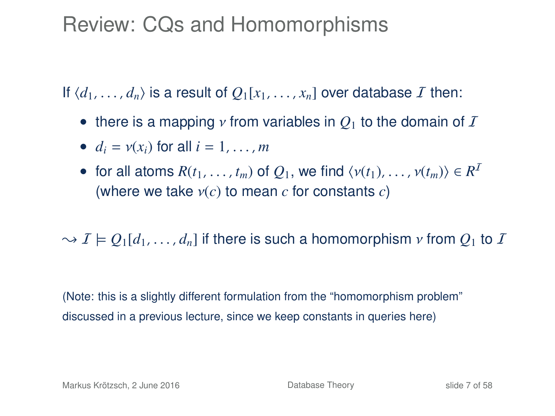### Review: CQs and Homomorphisms

If  $\langle d_1, \ldots, d_n \rangle$  is a result of  $O_1[x_1, \ldots, x_n]$  over database I then:

- there is a mapping *ν* from variables in  $Q_1$  to the domain of  $I$
- $d_i = v(x_i)$  for all  $i = 1, \ldots, m$
- for all atoms  $R(t_1, \ldots, t_m)$  of  $Q_1$ , we find  $\langle v(t_1), \ldots, v(t_m) \rangle \in R^I$ <br>(where we take  $v(c)$  to mean c for constants c) (where we take ν(*c*) to mean *<sup>c</sup>* for constants *<sup>c</sup>*)

 $\rightarrow I \models Q_1[d_1, \ldots, d_n]$  if there is such a homomorphism *v* from  $Q_1$  to *I* 

(Note: this is a slightly different formulation from the "homomorphism problem" discussed in a previous lecture, since we keep constants in queries here)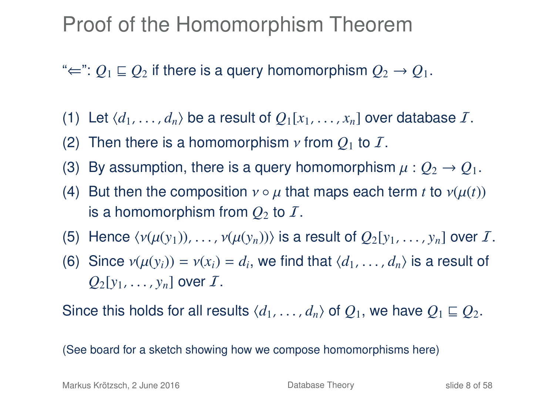### Proof of the Homomorphism Theorem

" $\Leftarrow$ ":  $Q_1 \sqsubseteq Q_2$  if there is a query homomorphism  $Q_2 \rightarrow Q_1$ .

- (1) Let  $\langle d_1, \ldots, d_n \rangle$  be a result of  $Q_1[x_1, \ldots, x_n]$  over database *I*.
- (2) Then there is a homomorphism  $\nu$  from  $Q_1$  to  $\mathcal{I}$ .
- (3) By assumption, there is a query homomorphism  $\mu: Q_2 \to Q_1$ .
- (4) But then the composition  $v \circ \mu$  that maps each term *t* to  $v(\mu(t))$ is a homomorphism from  $Q_2$  to  $\overline{I}$ .
- (5) Hence  $\langle v(\mu(y_1)), \ldots, v(\mu(y_n)) \rangle$  is a result of  $Q_2[y_1, \ldots, y_n]$  over I.
- (6) Since  $v(\mu(y_i)) = v(x_i) = d_i$ , we find that  $\langle d_1, \ldots, d_n \rangle$  is a result of  $Q_2[y_1, \ldots, y_n]$  over  $I$ .

Since this holds for all results  $\langle d_1, \ldots, d_n \rangle$  of  $Q_1$ , we have  $Q_1 \sqsubseteq Q_2$ .

(See board for a sketch showing how we compose homomorphisms here)

Markus Krötzsch, 2 June 2016 **[Database Theory](#page-0-0)** Database Theory slide 8 of 58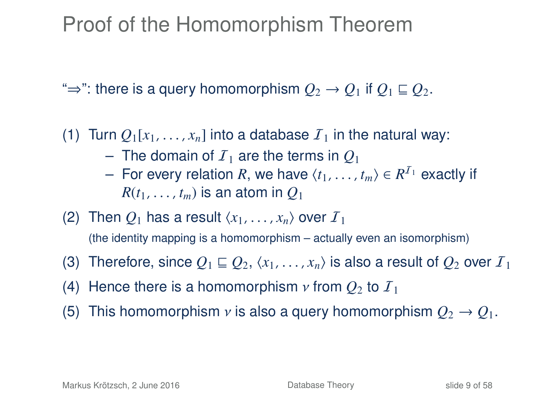### Proof of the Homomorphism Theorem

" $\Rightarrow$ ": there is a query homomorphism  $Q_2 \rightarrow Q_1$  if  $Q_1 \sqsubseteq Q_2$ .

(1) Turn  $Q_1[x_1, \ldots, x_n]$  into a database  $\mathcal{I}_1$  in the natural way:

- $-$  The domain of  $I_1$  are the terms in  $O_1$
- For every relation *R*, we have  $\langle t_1, \ldots, t_m \rangle$  ∈  $R^{I_1}$  exactly if  $R(t, t_1)$  is an atom in  $O_t$ .  $R(t_1, \ldots, t_m)$  is an atom in  $Q_1$
- (2) Then  $Q_1$  has a result  $\langle x_1, \ldots, x_n \rangle$  over  $I_1$ (the identity mapping is a homomorphism – actually even an isomorphism)
- (3) Therefore, since  $Q_1 \sqsubseteq Q_2, \langle x_1, \ldots, x_n \rangle$  is also a result of  $Q_2$  over  $I_1$
- (4) Hence there is a homomorphism  $\nu$  from  $Q_2$  to  $I_1$
- (5) This homomorphism *v* is also a query homomorphism  $Q_2 \rightarrow Q_1$ .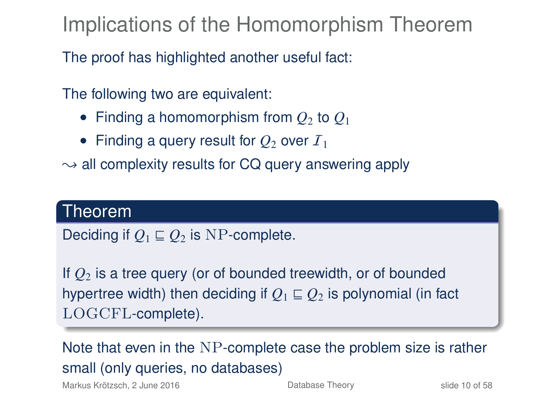Implications of the Homomorphism Theorem

The proof has highlighted another useful fact:

The following two are equivalent:

- Finding a homomorphism from  $Q_2$  to  $Q_1$
- Finding a query result for  $Q_2$  over  $I_1$
- $\rightarrow$  all complexity results for CQ query answering apply

### Theorem

Deciding if  $O_1 \sqsubseteq O_2$  is NP-complete.

If *Q*<sup>2</sup> is a tree query (or of bounded treewidth, or of bounded hypertree width) then deciding if  $O_1 \sqsubseteq O_2$  is polynomial (in fact LOGCFL-complete).

Note that even in the NP-complete case the problem size is rather small (only queries, no databases)

Markus Krötzsch, 2 June 2016 **[Database Theory](#page-0-0)** Slide 10 of 58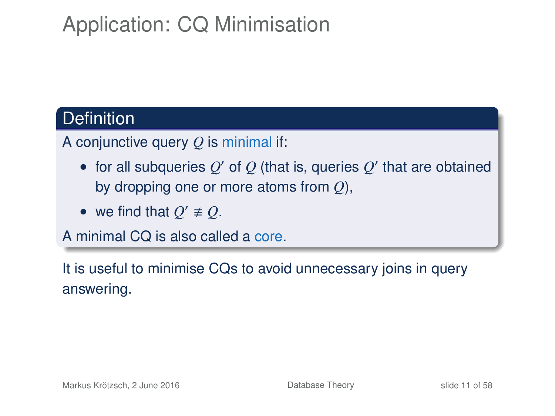## Application: CQ Minimisation

### **Definition**

A conjunctive query *Q* is minimal if:

- for all subqueries  $Q'$  of  $Q$  (that is, queries  $Q'$  that are obtained by dropping one or more atoms from *Q*),
- we find that  $Q' \neq Q$ .

A minimal CQ is also called a core.

It is useful to minimise CQs to avoid unnecessary joins in query answering.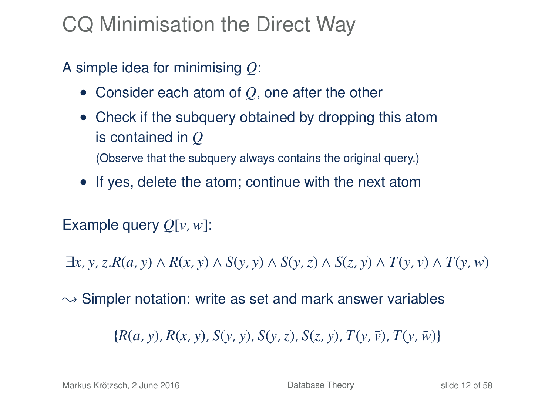## CQ Minimisation the Direct Way

A simple idea for minimising *Q*:

- Consider each atom of *Q*, one after the other
- Check if the subquery obtained by dropping this atom is contained in *Q* (Observe that the subquery always contains the original query.)
- If yes, delete the atom; continue with the next atom

Example query *Q*[*v*,*w*]:

 $\exists x, y, z. R(a, y) \wedge R(x, y) \wedge S(y, y) \wedge S(y, z) \wedge S(z, y) \wedge T(y, y) \wedge T(y, w)$ 

 $\rightarrow$  Simpler notation: write as set and mark answer variables

 ${R(a, y), R(x, y), S(y, y), S(y, z), S(z, y), T(y, \bar{y}), T(y, \bar{w})}$ 

Markus Krötzsch, 2 June 2016 **[Database Theory](#page-0-0)** Slide 12 of 58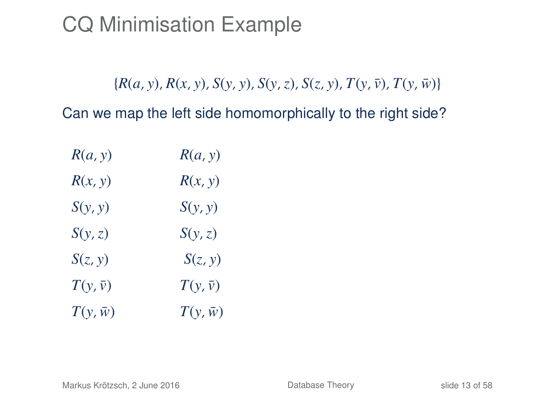${R(a, y), R(x, y), S(y, y), S(y, z), S(z, y), T(y, \bar{v}), T(y, \bar{w})}$ 

| R(a, y)         | R(a, y)         |
|-----------------|-----------------|
| R(x, y)         | R(x, y)         |
| S(y, y)         | S(y, y)         |
| S(y, z)         | S(y, z)         |
| S(z, y)         | S(z, y)         |
| $T(y, \bar{v})$ | $T(y,\bar{v})$  |
| $T(y, \bar{w})$ | $T(y, \bar{w})$ |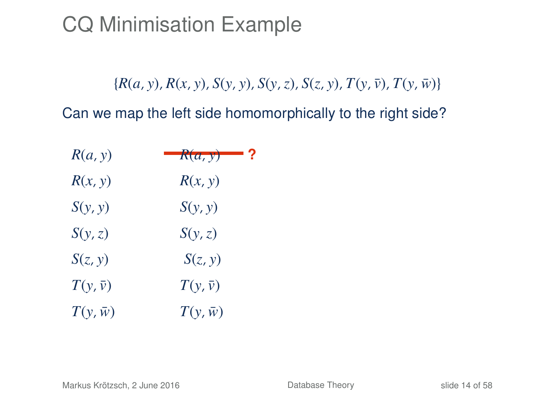${R(a, y), R(x, y), S(y, y), S(y, z), S(z, y), T(y, \bar{v}), T(y, \bar{w})}$ 

| R(a, y)        | $-$ R(a, y)    |
|----------------|----------------|
| R(x, y)        | R(x, y)        |
| S(y, y)        | S(y, y)        |
| S(y, z)        | S(y, z)        |
| S(z, y)        | S(z, y)        |
| $T(y,\bar{v})$ | $T(y,\bar{v})$ |
| $T(y,\bar{w})$ | $T(y,\bar{w})$ |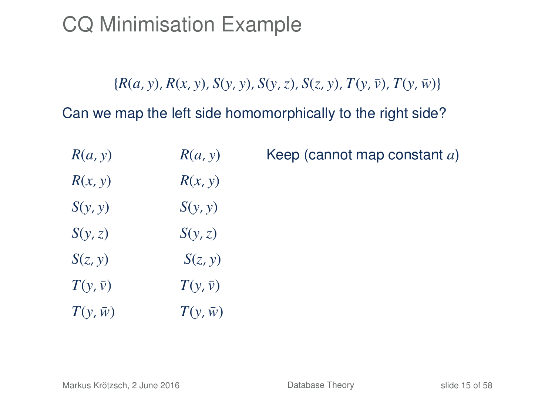${R(a, y), R(x, y), S(y, y), S(y, z), S(z, y), T(y, \bar{v}), T(y, \bar{w})}$ 

| R(a, y)         | R(a, y)        | Keep (cannot map constant a) |
|-----------------|----------------|------------------------------|
| R(x, y)         | R(x, y)        |                              |
| S(y, y)         | S(y, y)        |                              |
| S(y, z)         | S(y, z)        |                              |
| S(z, y)         | S(z, y)        |                              |
| $T(y,\bar{v})$  | $T(y,\bar{v})$ |                              |
| $T(y, \bar{w})$ | $T(y,\bar{w})$ |                              |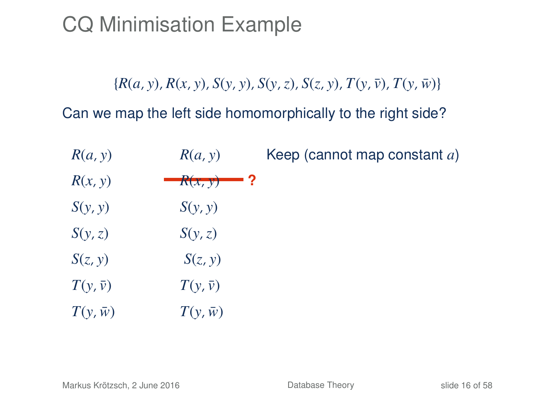${R(a, y), R(x, y), S(y, y), S(y, z), S(z, y), T(y, \bar{v}), T(y, \bar{w})}$ 

| R(a, y)         | R(a, y)        | Keep (cannot map constant a) |
|-----------------|----------------|------------------------------|
| R(x, y)         | $R(x, y)$ ?    |                              |
| S(y, y)         | S(y, y)        |                              |
| S(y, z)         | S(y, z)        |                              |
| S(z, y)         | S(z, y)        |                              |
| $T(y,\bar{y})$  | $T(y,\bar{v})$ |                              |
| $T(y, \bar{w})$ | $T(y,\bar{w})$ |                              |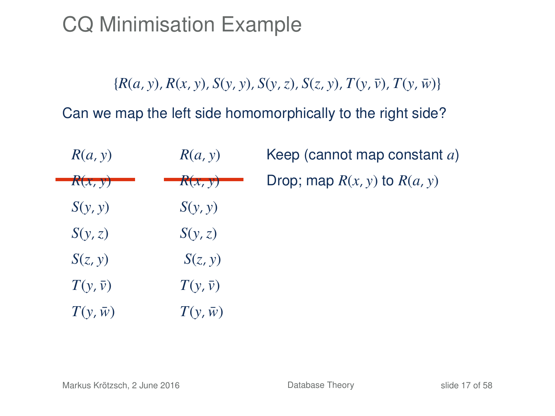${R(a, y), R(x, y), S(y, y), S(y, z), S(z, y), T(y, \bar{v}), T(y, \bar{w})}$ 

| R(a, y)        | R(a, y)        | Keep (cannot map constant a)     |
|----------------|----------------|----------------------------------|
| R(x, y)        | R(x, y)        | Drop; map $R(x, y)$ to $R(a, y)$ |
| S(y, y)        | S(y, y)        |                                  |
| S(y, z)        | S(y, z)        |                                  |
| S(z, y)        | S(z, y)        |                                  |
| $T(y,\bar{y})$ | $T(y,\bar{y})$ |                                  |
| $T(y,\bar{w})$ | $T(y,\bar{w})$ |                                  |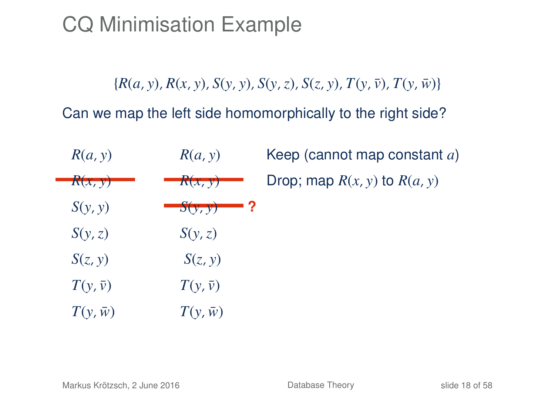${R(a, y), R(x, y), S(y, y), S(y, z), S(z, y), T(y, \bar{v}), T(y, \bar{w})}$ 

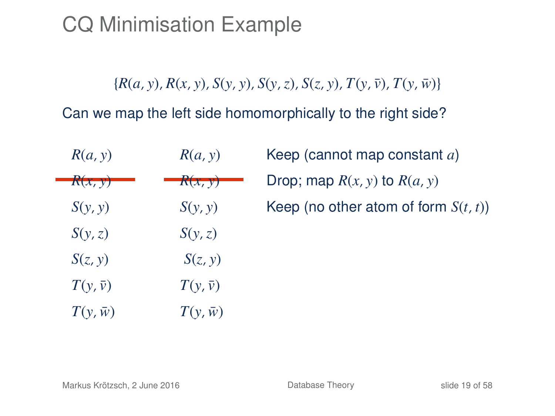${R(a, y), R(x, y), S(y, y), S(y, z), S(z, y), T(y, \bar{v}), T(y, \bar{w})}$ 

| R(a, y)        | R(a, y)        | Keep (cannot map constant a)            |
|----------------|----------------|-----------------------------------------|
| R(x, y)        | R(x, y)        | Drop; map $R(x, y)$ to $R(a, y)$        |
| S(y, y)        | S(y, y)        | Keep (no other atom of form $S(t, t)$ ) |
| S(y, z)        | S(y, z)        |                                         |
| S(z, y)        | S(z, y)        |                                         |
| $T(y,\bar{y})$ | $T(y,\bar{y})$ |                                         |
| $T(y,\bar{w})$ | $T(y,\bar{w})$ |                                         |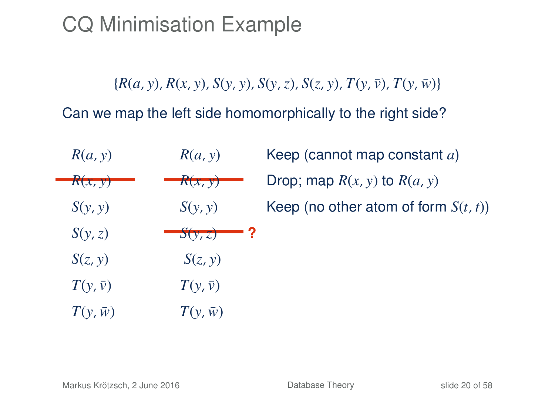${R(a, y), R(x, y), S(y, y), S(y, z), S(z, y), T(y, \bar{v}), T(y, \bar{w})}$ 

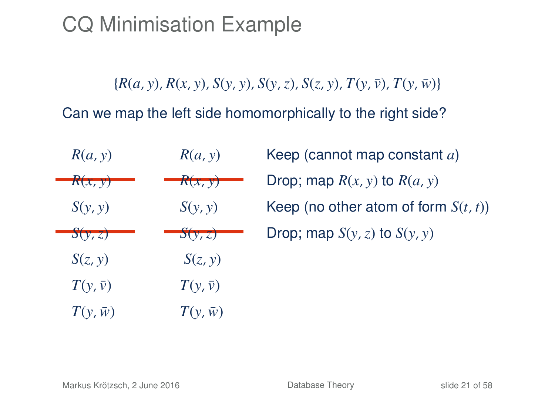${R(a, y), R(x, y), S(y, y), S(y, z), S(z, y), T(y, \bar{y}), T(y, \bar{w})}$ 

Can we map the left side homomorphically to the right side?

| R(a, y)         | R(a, y)        | Keep (cannot map constant a)            |
|-----------------|----------------|-----------------------------------------|
| R(x, y)         | R(x, y)        | Drop; map $R(x, y)$ to $R(a, y)$        |
| S(y, y)         | S(y, y)        | Keep (no other atom of form $S(t, t)$ ) |
| S(y, z)         | S(y, z)        | Drop; map $S(y, z)$ to $S(y, y)$        |
| S(z, y)         | S(z, y)        |                                         |
| $T(y,\bar{y})$  | $T(y,\bar{y})$ |                                         |
| $T(y, \bar{w})$ | $T(y,\bar{w})$ |                                         |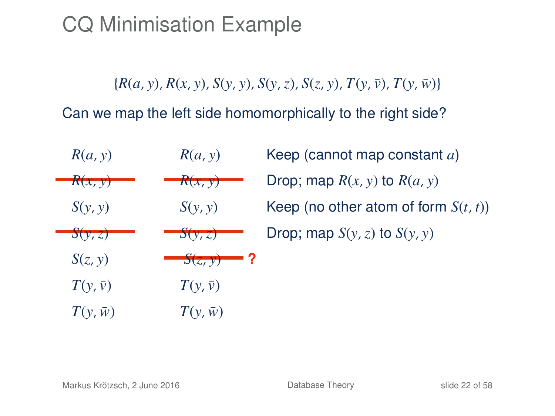${R(a, y), R(x, y), S(y, y), S(y, z), S(z, y), T(y, \bar{y}), T(y, \bar{w})}$ 

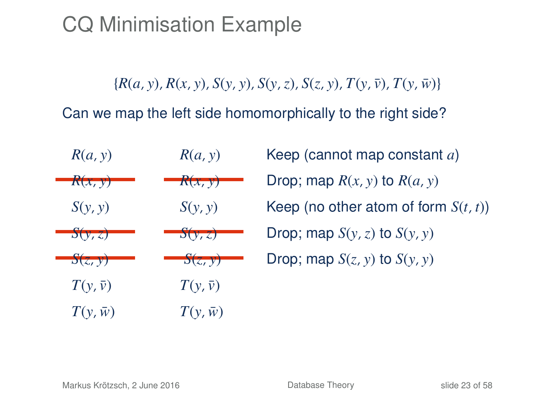${R(a, y), R(x, y), S(y, y), S(y, z), S(z, y), T(y, \bar{y}), T(y, \bar{w})}$ 

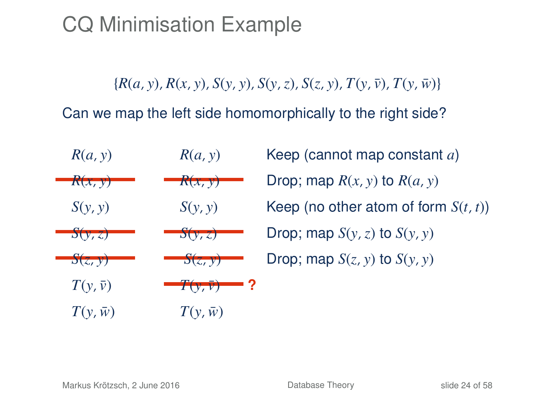${R(a, y), R(x, y), S(y, y), S(y, z), S(z, y), T(y, \bar{y}), T(y, \bar{w})}$ 

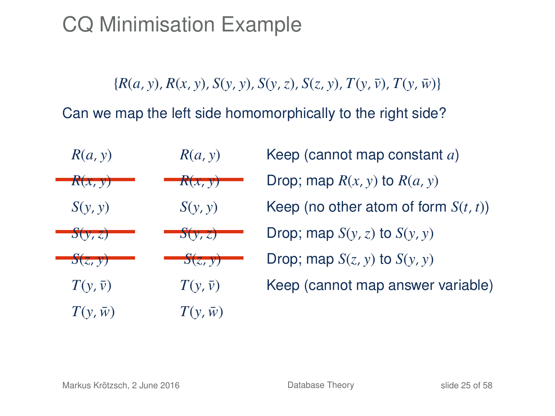${R(a, y), R(x, y), S(y, y), S(y, z), S(z, y), T(y, \bar{y}), T(y, \bar{w})}$ 

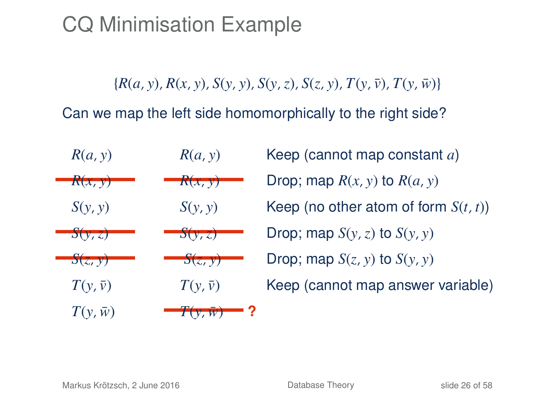${R(a, y), R(x, y), S(y, y), S(y, z), S(z, y), T(y, \bar{y}), T(y, \bar{w})}$ 

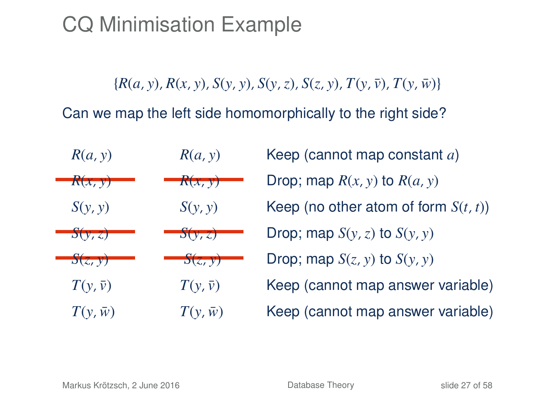${R(a, y), R(x, y), S(y, y), S(y, z), S(z, y), T(y, \bar{y}), T(y, \bar{w})}$ 

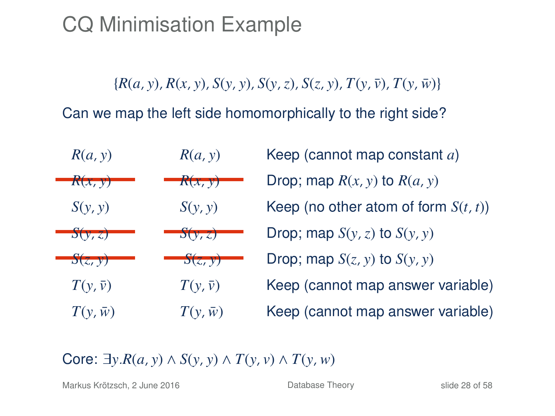${R(a, y), R(x, y), S(y, y), S(y, z), S(z, y), T(y, \bar{y}), T(y, \bar{w})}$ 

Can we map the left side homomorphically to the right side?



Core:  $\exists y.R(a, y) \land S(y, y) \land T(y, y) \land T(y, w)$ 

Markus Krötzsch, 2 June 2016 **[Database Theory](#page-0-0) Database Theory** slide 28 of 58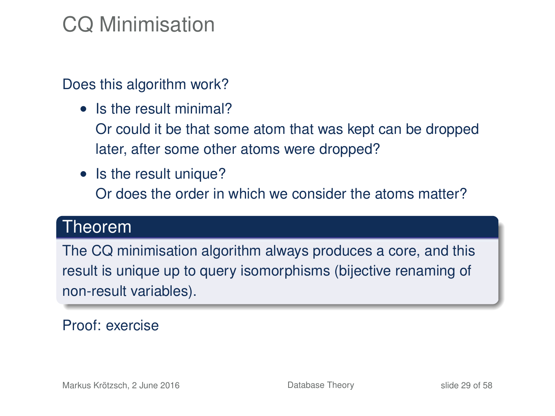## CQ Minimisation

#### Does this algorithm work?

- Is the result minimal?
	- Or could it be that some atom that was kept can be dropped later, after some other atoms were dropped?
- Is the result unique?

Or does the order in which we consider the atoms matter?

#### Theorem

The CQ minimisation algorithm always produces a core, and this result is unique up to query isomorphisms (bijective renaming of non-result variables).

#### Proof: exercise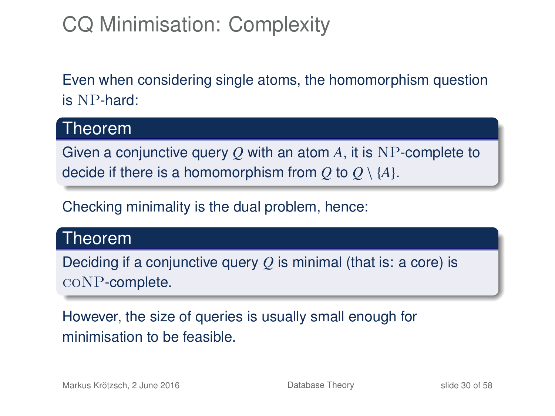## CQ Minimisation: Complexity

Even when considering single atoms, the homomorphism question is NP-hard:

#### Theorem

Given a conjunctive query *Q* with an atom *A*, it is NP-complete to decide if there is a homomorphism from Q to  $Q \setminus \{A\}$ .

Checking minimality is the dual problem, hence:

### Theorem

Deciding if a conjunctive query *Q* is minimal (that is: a core) is coNP-complete.

However, the size of queries is usually small enough for minimisation to be feasible.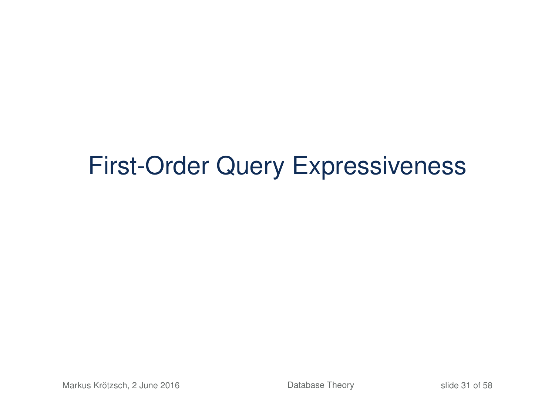# First-Order Query Expressiveness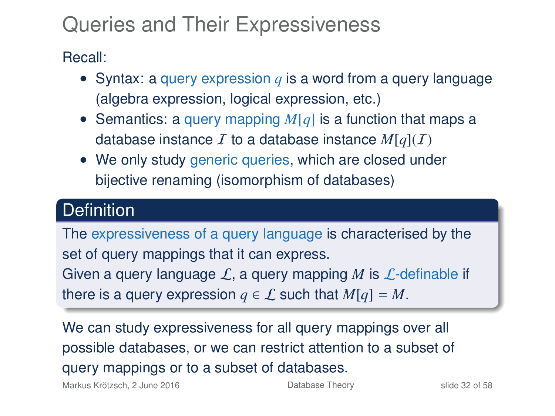## Queries and Their Expressiveness

Recall:

- Syntax: a query expression *q* is a word from a query language (algebra expression, logical expression, etc.)
- Semantics: a query mapping *M*[*q*] is a function that maps a database instance  $\bar{I}$  to a database instance  $M[q](\bar{I})$
- We only study generic queries, which are closed under bijective renaming (isomorphism of databases)

### **Definition**

The expressiveness of a query language is characterised by the set of query mappings that it can express. Given a query language  $\mathcal{L}$ , a query mapping M is  $\mathcal{L}$ -definable if there is a query expression  $q \in \mathcal{L}$  such that  $M[q] = M$ .

We can study expressiveness for all query mappings over all possible databases, or we can restrict attention to a subset of query mappings or to a subset of databases.

Markus Krötzsch, 2 June 2016 **[Database Theory](#page-0-0)** Slide 32 of 58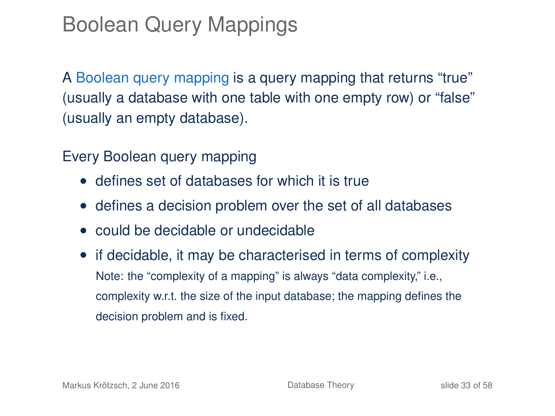## Boolean Query Mappings

A Boolean query mapping is a query mapping that returns "true" (usually a database with one table with one empty row) or "false" (usually an empty database).

Every Boolean query mapping

- defines set of databases for which it is true
- defines a decision problem over the set of all databases
- could be decidable or undecidable
- if decidable, it may be characterised in terms of complexity Note: the "complexity of a mapping" is always "data complexity," i.e., complexity w.r.t. the size of the input database; the mapping defines the decision problem and is fixed.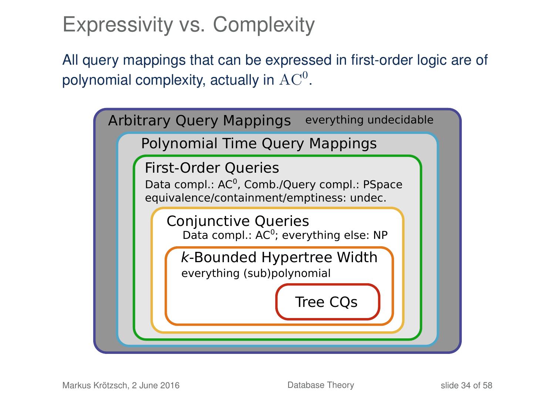### Expressivity vs. Complexity

All query mappings that can be expressed in first-order logic are of polynomial complexity, actually in  $\rm AC^0.$ 

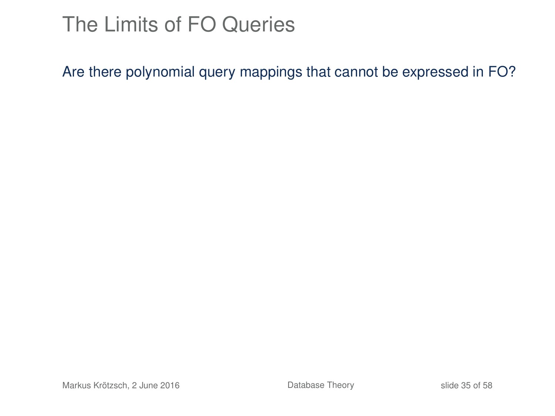## The Limits of FO Queries

Are there polynomial query mappings that cannot be expressed in FO?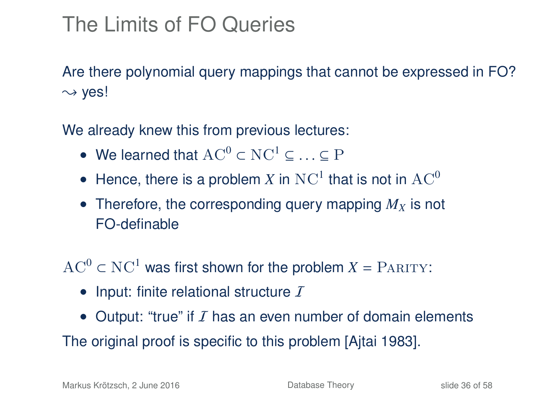## The Limits of FO Queries

Are there polynomial query mappings that cannot be expressed in FO?  $\rightsquigarrow$  ves!

We already knew this from previous lectures:

- We learned that  $AC^0 \subset NC^1 \subset \ldots \subset P$
- Hence, there is a problem X in  $NC<sup>1</sup>$  that is not in  $AC<sup>0</sup>$
- Therefore, the corresponding query mapping  $M_X$  is not FO-definable

 $AC^0 \subset NC^1$  was first shown for the problem  $X = PARITY$ :

- Input: finite relational structure  $I$
- Output: "true" if  $I$  has an even number of domain elements

The original proof is specific to this problem [Ajtai 1983].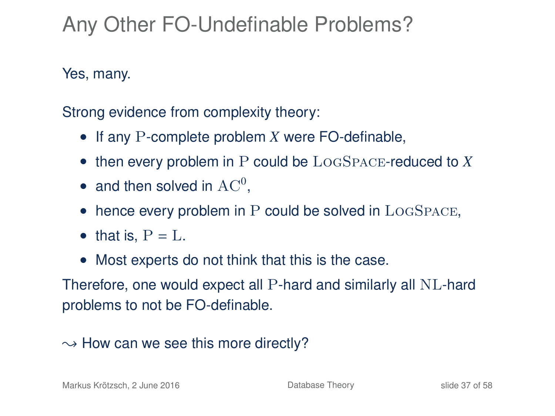## Any Other FO-Undefinable Problems?

Yes, many.

Strong evidence from complexity theory:

- If any P-complete problem *X* were FO-definable,
- then every problem in P could be LogSpace-reduced to *X*
- and then solved in  $AC^0$ ,
- $\bullet$  hence every problem in P could be solved in  $LogSpace$ ,
- that is,  $P = L$ .
- Most experts do not think that this is the case.

Therefore, one would expect all P-hard and similarly all NL-hard problems to not be FO-definable.

### $\rightarrow$  How can we see this more directly?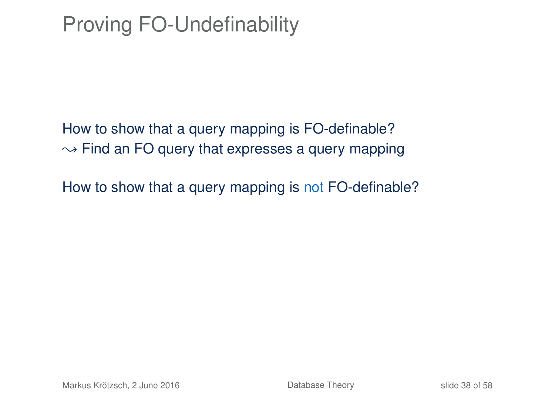## Proving FO-Undefinability

How to show that a query mapping is FO-definable?  $\rightarrow$  Find an FO query that expresses a query mapping

How to show that a query mapping is not FO-definable?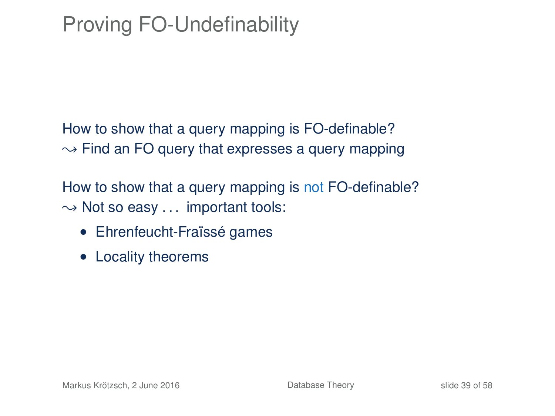## Proving FO-Undefinability

How to show that a query mapping is FO-definable?  $\rightarrow$  Find an FO query that expresses a query mapping

How to show that a query mapping is not FO-definable?  $\rightarrow$  Not so easy ... important tools:

- Ehrenfeucht-Fraïssé games
- Locality theorems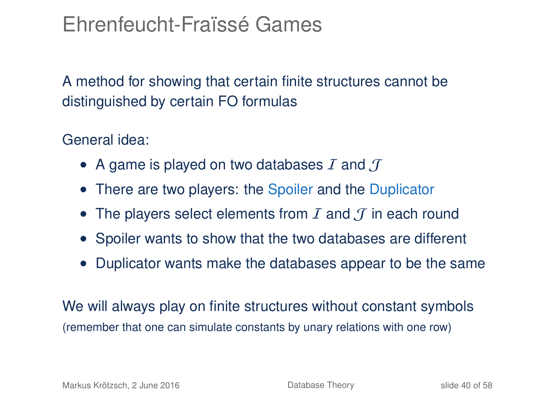### Ehrenfeucht-Fraïssé Games

A method for showing that certain finite structures cannot be distinguished by certain FO formulas

General idea:

- A game is played on two databases  $I$  and  $I$
- There are two players: the Spoiler and the Duplicator
- The players select elements from  $I$  and  $J$  in each round
- Spoiler wants to show that the two databases are different
- Duplicator wants make the databases appear to be the same

We will always play on finite structures without constant symbols (remember that one can simulate constants by unary relations with one row)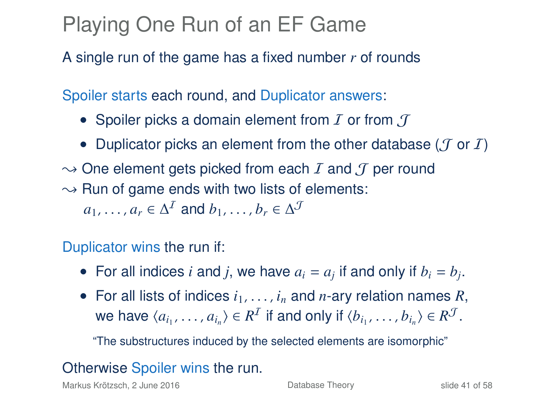### Playing One Run of an EF Game

A single run of the game has a fixed number *r* of rounds

Spoiler starts each round, and Duplicator answers:

- Spoiler picks a domain element from  $I$  or from  $I$
- Duplicator picks an element from the other database ( $\mathcal J$  or  $\mathcal I$ )
- $\rightarrow$  One element gets picked from each I and J per round  $\rightarrow$  Run of game ends with two lists of elements:

 $a_1, \ldots, a_r \in \Delta^{\mathcal{I}}$  and  $b_1, \ldots, b_r \in \Delta^{\mathcal{J}}$ 

Duplicator wins the run if:

- For all indices *i* and *j*, we have  $a_i = a_j$  if and only if  $b_i = b_j$ .
- For all lists of indices  $i_1, \ldots, i_n$  and *n*-ary relation names R, we have  $\langle a_{i_1}, \ldots, a_{i_n} \rangle \in R^{\mathcal{I}}$  if and only if  $\langle b_{i_1}, \ldots, b_{i_n} \rangle \in R^{\mathcal{J}}$ .

"The substructures induced by the selected elements are isomorphic"

### Otherwise Spoiler wins the run.

Markus Krötzsch, 2 June 2016 **[Database Theory](#page-0-0) Database Theory** slide 41 of 58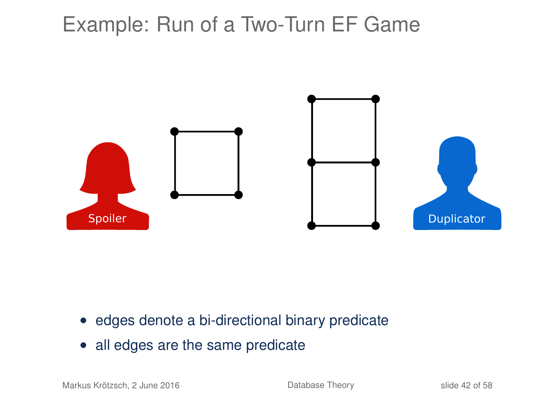

- edges denote a bi-directional binary predicate
- all edges are the same predicate

Markus Krötzsch, 2 June 2016 **[Database Theory](#page-0-0)** Database Theory slide 42 of 58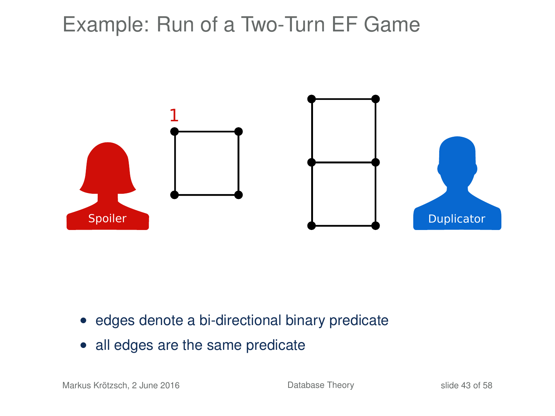

- edges denote a bi-directional binary predicate
- all edges are the same predicate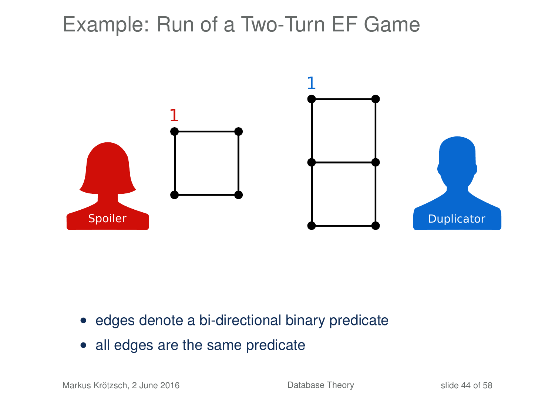

- edges denote a bi-directional binary predicate
- all edges are the same predicate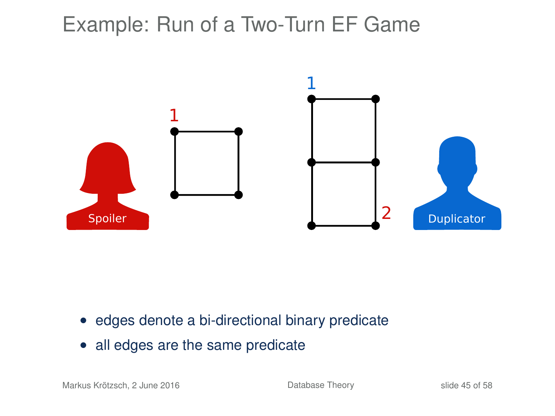

- edges denote a bi-directional binary predicate
- all edges are the same predicate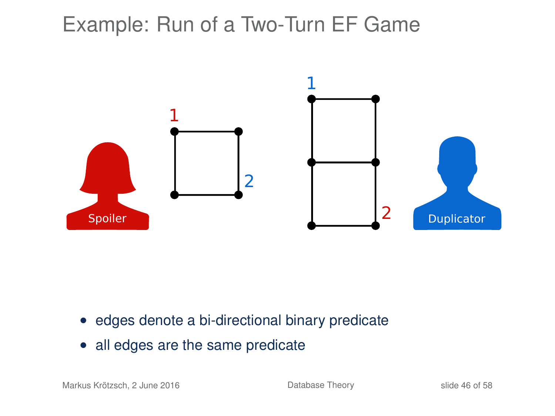

- edges denote a bi-directional binary predicate
- all edges are the same predicate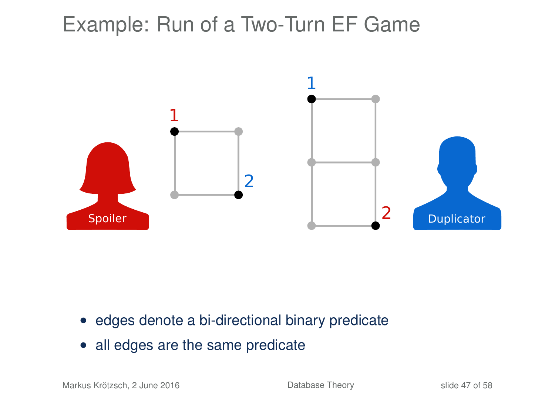

- edges denote a bi-directional binary predicate
- all edges are the same predicate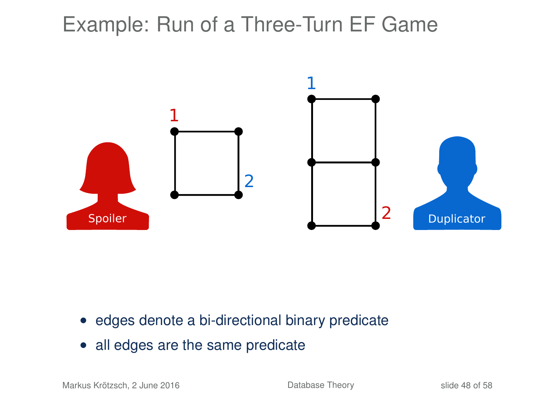

- edges denote a bi-directional binary predicate
- all edges are the same predicate

Markus Krötzsch, 2 June 2016 **[Database Theory](#page-0-0)** Database Theory slide 48 of 58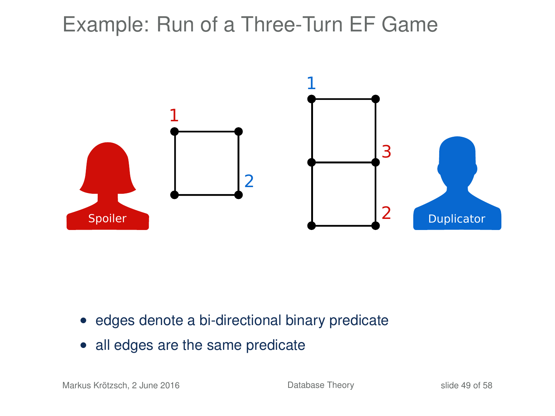

- edges denote a bi-directional binary predicate
- all edges are the same predicate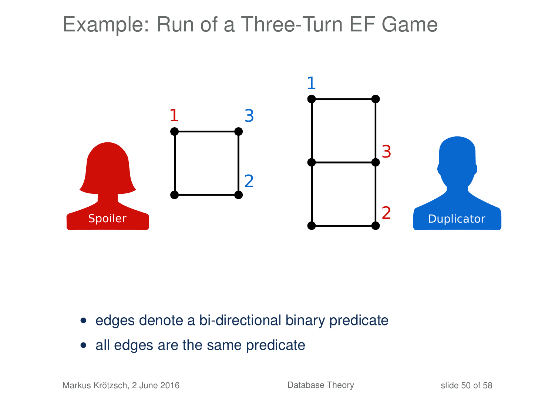

- edges denote a bi-directional binary predicate
- all edges are the same predicate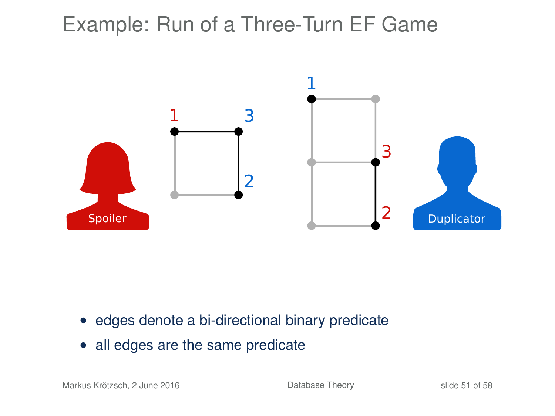

- edges denote a bi-directional binary predicate
- all edges are the same predicate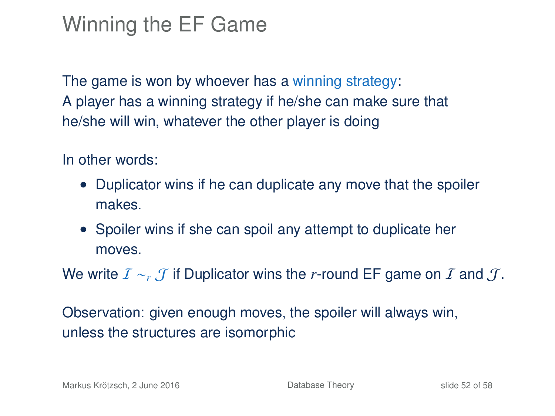## Winning the EF Game

The game is won by whoever has a winning strategy: A player has a winning strategy if he/she can make sure that he/she will win, whatever the other player is doing

In other words:

- Duplicator wins if he can duplicate any move that the spoiler makes.
- Spoiler wins if she can spoil any attempt to duplicate her moves.

We write  $I \sim r$  *T* if Duplicator wins the *r*-round EF game on *I* and *T*.

Observation: given enough moves, the spoiler will always win, unless the structures are isomorphic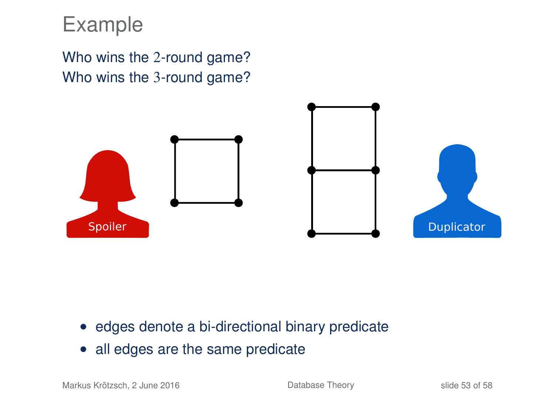### Example

Who wins the 2-round game? Who wins the 3-round game?



- edges denote a bi-directional binary predicate
- all edges are the same predicate

Markus Krötzsch, 2 June 2016 **[Database Theory](#page-0-0)** Database Theory slide 53 of 58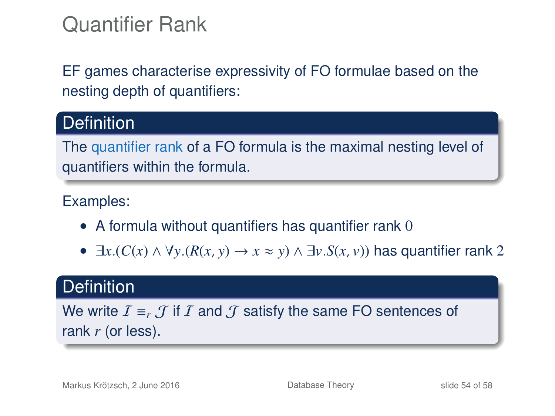### Quantifier Rank

EF games characterise expressivity of FO formulae based on the nesting depth of quantifiers:

### **Definition**

The quantifier rank of a FO formula is the maximal nesting level of quantifiers within the formula.

#### Examples:

- A formula without quantifiers has quantifier rank 0
- ∃*x*.(*C*(*x*) ∧ ∀*y*.(*R*(*x*, *y*) → *x* ≈ *y*) ∧ ∃*v*.*S*(*x*, *v*)) has quantifier rank 2

### **Definition**

We write  $I \equiv_r \mathcal{J}$  if I and  $\mathcal{J}$  satisfy the same FO sentences of rank *r* (or less).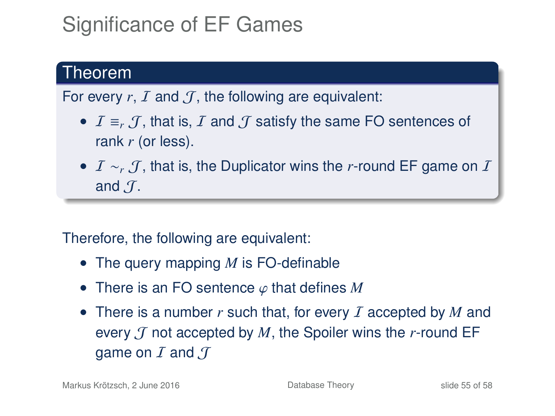## Significance of EF Games

### Theorem

For every  $r, I$  and  $J$ , the following are equivalent:

- $I \equiv_r I$ , that is, I and  $I$  satisfy the same FO sentences of rank *r* (or less).
- *I* ∼ *T*, that is, the Duplicator wins the *r*-round EF game on *I* and  $\mathcal{T}$ .

#### Therefore, the following are equivalent:

- The query mapping *M* is FO-definable
- There is an FO sentence ϕ that defines *<sup>M</sup>*
- There is a number r such that, for every I accepted by M and every  $\mathcal T$  not accepted by  $M$ , the Spoiler wins the  $r$ -round EF game on  $I$  and  $J$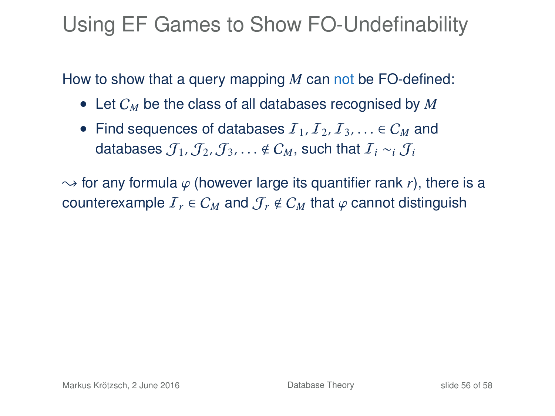### Using EF Games to Show FO-Undefinability

How to show that a query mapping *M* can not be FO-defined:

- Let C*<sup>M</sup>* be the class of all databases recognised by *M*
- Find sequences of databases  $I_1, I_2, I_3, \ldots \in C_M$  and databases  $J_1, J_2, J_3, \ldots \notin C_M$ , such that  $I_i \sim_i J_i$

 $\rightarrow$  for any formula  $\varphi$  (however large its quantifier rank *r*), there is a counterexample  $I_r \in C_M$  and  $\mathcal{J}_r \notin C_M$  that  $\varphi$  cannot distinguish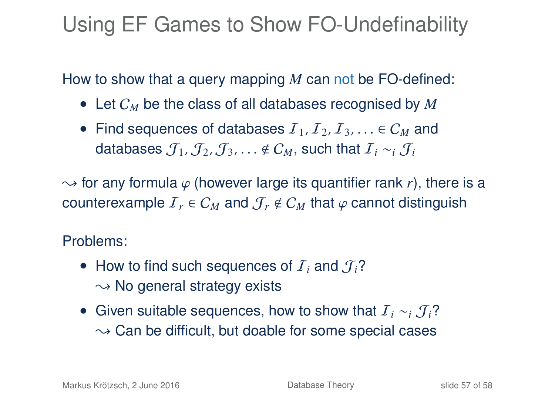## Using EF Games to Show FO-Undefinability

How to show that a query mapping *M* can not be FO-defined:

- Let C*<sup>M</sup>* be the class of all databases recognised by *M*
- Find sequences of databases  $I_1, I_2, I_3, \ldots \in C_M$  and databases  $\mathcal{J}_1$ ,  $\mathcal{J}_2$ ,  $\mathcal{J}_3$ , ...  $\notin \mathcal{C}_M$ , such that  $\mathcal{I}_i \sim_i \mathcal{J}_i$

 $\rightarrow$  for any formula  $\varphi$  (however large its quantifier rank *r*), there is a counterexample  $I_r \in C_M$  and  $\mathcal{J}_r \notin C_M$  that  $\varphi$  cannot distinguish

### Problems:

- How to find such sequences of  $I_i$  and  $J_i$ ?  $\sim$  No general strategy exists
- Given suitable sequences, how to show that I*<sup>i</sup>* ∼*<sup>i</sup>* J*i*?  $\sim$  Can be difficult, but doable for some special cases